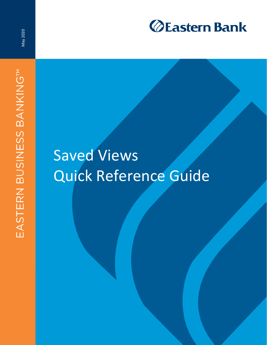

May 2020

# Saved Views Quick Reference Guide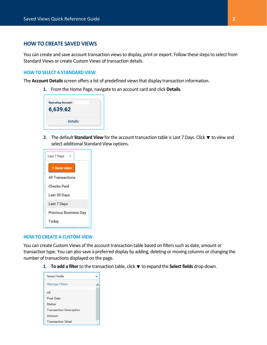## **HOW TO CREATE SAVED VIEWS**

You can create and save account transaction views to display, print or export. Follow these steps to select from Standard Views or create Custom Views of transaction details.

## **HOW TO SELECT A STANDARD VIEW**

The **Account Details** screen offers a list of predefined views that display transaction information.

**1.** From the Home Page, navigate to an account card and click **Details**.

| <b>Operating Account -</b> |                |  |
|----------------------------|----------------|--|
| 6,639.62                   |                |  |
|                            | <b>Details</b> |  |

**2.** The default **Standard View** for the account transaction table is Last 7 Days. Click ▼ to view and select additional Standard View options.



### **HOW TO CREATE A CUSTOM VIEW**

You can create Custom Views of the account transaction table based on filters such as date, amount or transaction type. You can also save a preferred display by adding, deleting or moving columns or changing the number of transactions displayed on the page.

1. **To add a filter** to the transaction table, click **v** to expand the **Select fields** drop-down.

| Select fields                  |  |  |  |
|--------------------------------|--|--|--|
| <b>Manage Filters</b>          |  |  |  |
| All                            |  |  |  |
| Post Date                      |  |  |  |
| <b>Status</b>                  |  |  |  |
| <b>Transaction Description</b> |  |  |  |
| Amount                         |  |  |  |
| <b>Transaction Detail</b>      |  |  |  |